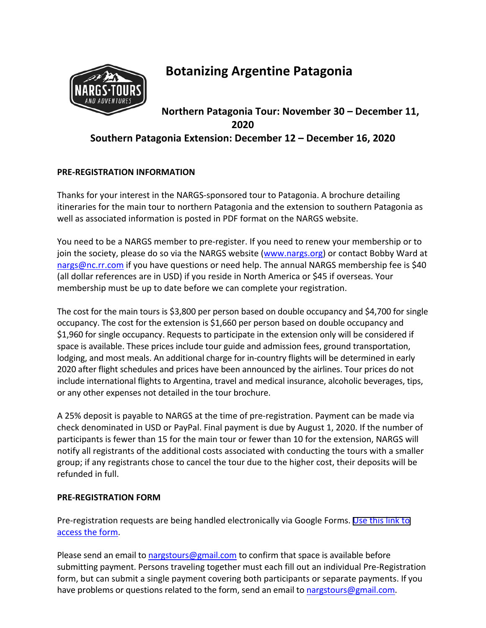

# **Botanizing Argentine Patagonia**

# **Northern Patagonia Tour: November 30 – December 11, 2020 Southern Patagonia Extension: December 12 – December 16, 2020**

## **PRE‐REGISTRATION INFORMATION**

Thanks for your interest in the NARGS‐sponsored tour to Patagonia. A brochure detailing itineraries for the main tour to northern Patagonia and the extension to southern Patagonia as well as associated information is posted in PDF format on the NARGS website.

You need to be a NARGS member to pre‐register. If you need to renew your membership or to join the society, please do so via the NARGS website (www.nargs.org) or contact Bobby Ward at nargs@nc.rr.com if you have questions or need help. The annual NARGS membership fee is \$40 (all dollar references are in USD) if you reside in North America or \$45 if overseas. Your membership must be up to date before we can complete your registration.

The cost for the main tours is \$3,800 per person based on double occupancy and \$4,700 for single occupancy. The cost for the extension is \$1,660 per person based on double occupancy and \$1,960 for single occupancy. Requests to participate in the extension only will be considered if space is available. These prices include tour guide and admission fees, ground transportation, lodging, and most meals. An additional charge for in‐country flights will be determined in early 2020 after flight schedules and prices have been announced by the airlines. Tour prices do not include international flights to Argentina, travel and medical insurance, alcoholic beverages, tips, or any other expenses not detailed in the tour brochure.

A 25% deposit is payable to NARGS at the time of pre‐registration. Payment can be made via check denominated in USD or PayPal. Final payment is due by August 1, 2020. If the number of participants is fewer than 15 for the main tour or fewer than 10 for the extension, NARGS will notify all registrants of the additional costs associated with conducting the tours with a smaller group; if any registrants chose to cancel the tour due to the higher cost, their deposits will be refunded in full.

## **PRE‐REGISTRATION FORM**

Pre‐registration requests are being handled electronically via Google Forms. [Use this link to](https://docs.google.com/forms/d/e/1FAIpQLSfHUrI63KXJGnQMlNu1D_hTQvrLJjIefa4z6NkD4_KMDOx9mQ/viewform)  access the form.

Please send an email to nargstours@gmail.com to confirm that space is available before submitting payment. Persons traveling together must each fill out an individual Pre‐Registration form, but can submit a single payment covering both participants or separate payments. If you have problems or questions related to the form, send an email to nargstours@gmail.com.